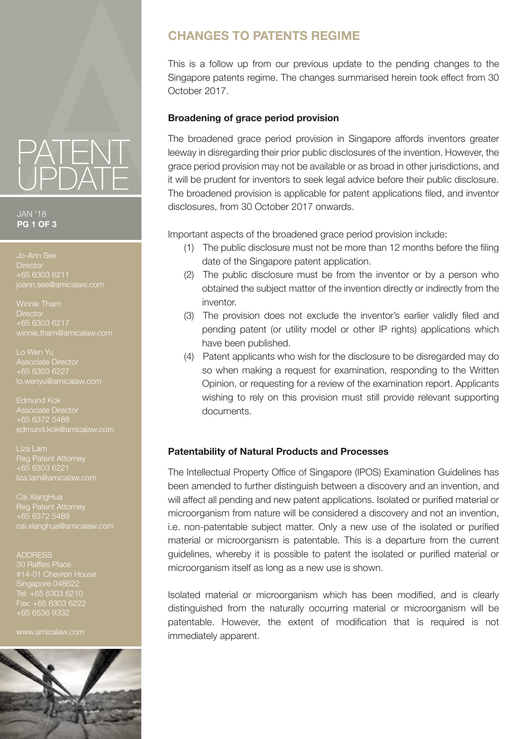

JAN '18 **PG 1 OF 3**

**Director** +65 6303 6211

Winnie Tham **Director** +65 6303 6217 winnie.tham@amicalaw.com

Lo Wen Yu Associate Director +65 6303 6227

Edmund Kok Associate Director +65 6372 5488

Reg Patent Attorney +65 6303 6221 liza.lam@amicalaw.com

Cai XiangHua Reg Patent Attorney +65 6372 5489 ai.xianghua@amicalaw.com

#### ADDRESS

30 Raffles Place Singapore 048622 Fax: +65 6303 6222 +65 6536 9332

www.amicalaw.com



# **CHANGES TO PATENTS REGIME**

This is a follow up from our previous update to the pending changes to the Singapore patents regime. The changes summarised herein took effect from 30 October 2017.

#### **Broadening of grace period provision**

The broadened grace period provision in Singapore affords inventors greater leeway in disregarding their prior public disclosures of the invention. However, the grace period provision may not be available or as broad in other jurisdictions, and it will be prudent for inventors to seek legal advice before their public disclosure. The broadened provision is applicable for patent applications filed, and inventor disclosures, from 30 October 2017 onwards.

Important aspects of the broadened grace period provision include:

- (1) The public disclosure must not be more than 12 months before the filing date of the Singapore patent application.
- (2) The public disclosure must be from the inventor or by a person who obtained the subject matter of the invention directly or indirectly from the inventor.
- (3) The provision does not exclude the inventor's earlier validly filed and pending patent (or utility model or other IP rights) applications which have been published.
- (4) Patent applicants who wish for the disclosure to be disregarded may do so when making a request for examination, responding to the Written Opinion, or requesting for a review of the examination report. Applicants wishing to rely on this provision must still provide relevant supporting documents.

### **Patentability of Natural Products and Processes**

The Intellectual Property Office of Singapore (IPOS) Examination Guidelines has been amended to further distinguish between a discovery and an invention, and will affect all pending and new patent applications. Isolated or purified material or microorganism from nature will be considered a discovery and not an invention, i.e. non-patentable subject matter. Only a new use of the isolated or purified material or microorganism is patentable. This is a departure from the current guidelines, whereby it is possible to patent the isolated or purified material or microorganism itself as long as a new use is shown.

Isolated material or microorganism which has been modified, and is clearly distinguished from the naturally occurring material or microorganism will be patentable. However, the extent of modification that is required is not immediately apparent.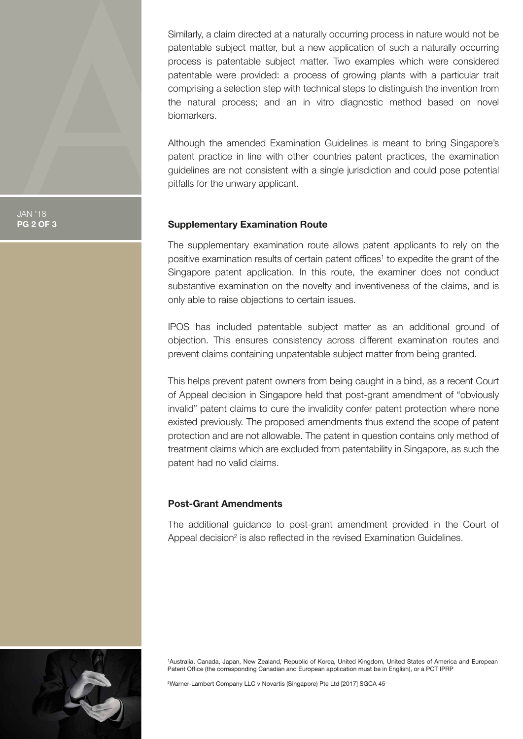Similarly, a claim directed at a naturally occurring process in nature would not be patentable subject matter, but a new application of such a naturally occurring process is patentable subject matter. Two examples which were considered patentable were provided: a process of growing plants with a particular trait comprising a selection step with technical steps to distinguish the invention from the natural process; and an in vitro diagnostic method based on novel biomarkers.

Although the amended Examination Guidelines is meant to bring Singapore's patent practice in line with other countries patent practices, the examination guidelines are not consistent with a single jurisdiction and could pose potential pitfalls for the unwary applicant.

#### **Supplementary Examination Route**

The supplementary examination route allows patent applicants to rely on the positive examination results of certain patent offices<sup>1</sup> to expedite the grant of the Singapore patent application. In this route, the examiner does not conduct substantive examination on the novelty and inventiveness of the claims, and is only able to raise objections to certain issues.

IPOS has included patentable subject matter as an additional ground of objection. This ensures consistency across different examination routes and prevent claims containing unpatentable subject matter from being granted.

This helps prevent patent owners from being caught in a bind, as a recent Court of Appeal decision in Singapore held that post-grant amendment of "obviously invalid" patent claims to cure the invalidity confer patent protection where none existed previously. The proposed amendments thus extend the scope of patent protection and are not allowable. The patent in question contains only method of treatment claims which are excluded from patentability in Singapore, as such the patent had no valid claims.

#### **Post-Grant Amendments**

The additional guidance to post-grant amendment provided in the Court of Appeal decision<sup>2</sup> is also reflected in the revised Examination Guidelines.



1 Australia, Canada, Japan, New Zealand, Republic of Korea, United Kingdom, United States of America and European Patent Office (the corresponding Canadian and European application must be in English), or a PCT IPRP

2 Warner-Lambert Company LLC v Novartis (Singapore) Pte Ltd [2017] SGCA 45

JAN '18 **PG 2 OF 3**